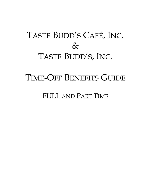# TASTE BUDD'S CAFÉ, INC.  $\&$ TASTE BUDD'S, INC.

## TIME-OFF BENEFITS GUIDE

FULL AND PART TIME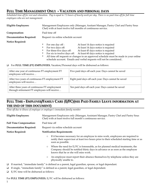## **FULL TIME MANAGEMENT ONLY - VACATION AND PERSONAL DAYS**

*Scheduled time off for rest and relaxation. Pay is equal to 7.5 hours of hourly work per day. There is no paid time off for full time employees who are not management.*

| Eligible Employees:            | Management Employees only (Manager, Assitant Manager, Pastry Chef and Pastry Sous<br>Chef) with at least twelve full months of continuous service. |                                                                                                                   |
|--------------------------------|----------------------------------------------------------------------------------------------------------------------------------------------------|-------------------------------------------------------------------------------------------------------------------|
| Compensation:                  | Paid time off                                                                                                                                      |                                                                                                                   |
| <b>Documentation Required:</b> | Request via online schedule account                                                                                                                |                                                                                                                   |
| <b>Notice Required:</b>        | For one day off :<br>٠<br>For two days off:<br>٠<br>For three-five days off:<br>٠                                                                  | At least 14 days notice is required<br>At least 14 days notice is required<br>At least 45 days notice is required |

- For six to twelve days off: At least 60 days notice is required
- All time off requests or changes to an approved schedule must be made in your online schedule account. Emails and verbal requests will not be considered..

#### ❑ For **FULL TIME (FT) EMPLOYEES**, Vacation/Personal days will be disbursed as follows:

| After one year of continuous FT employment FT<br>employees will receive                       | Five paid days off each year. Days cannot be saved  |
|-----------------------------------------------------------------------------------------------|-----------------------------------------------------|
| After two years of continuous FT employment FT<br>employees will receive                      | Eight paid days off each year. Days cannot be saved |
| After three years of continuous FT employment<br>through retirement FT employees will receive | Ten paid days off each year. Days cannot be saved   |

## **FULL TIME - EMPLOYEE/FAMILY CARE (E/FC)(SEE PAID FAMILY LEAVE INFORMATION AT THE END OF THIS DOCUMENT)**

*Time off due to illness of employee or employee's immediate family member*

| <b>Eligible Employees:</b>     | Management Employees only (Manager, Assistant Manager, Pastry Chef and Pastry Sous<br>Chef) with at least twelve full month's continuous service.                                                                 |  |
|--------------------------------|-------------------------------------------------------------------------------------------------------------------------------------------------------------------------------------------------------------------|--|
| <b>Full Time Compensation:</b> | Paid time off                                                                                                                                                                                                     |  |
| <b>Documentation Required:</b> | Request via online schedule account                                                                                                                                                                               |  |
| <b>Notice Required:</b>        | <b>Notification Requirements</b>                                                                                                                                                                                  |  |
|                                | If it becomes necessary for an employee to miss work, employees are required to<br>$\circ$<br>notify their supervisor at least two hours prior to their scheduled starting time or as<br>soon as possible.        |  |
|                                | Where the need for E/FC is foreseeable, as for planned medical treatments, the<br>$\circ$<br>Company should be notified thirty days in advance or as soon as the employee<br>knows that he or she will miss work. |  |
|                                | An employee must report their absence themselves by telephone unless they are<br>$\circ$<br>physically unable to.                                                                                                 |  |
|                                | $\Box$ If married, "immediate family" is defined as a parent, legal guardian, spouse, or legal dependant.                                                                                                         |  |

- ❑ If single, "immediate family" is defined as a parent, legal guardian, or legal dependant.
- $\Box$  <br> <br>E/FC time will be disbursed as follows:

For **FULL TIME (FT) EMPLOYEES**, E/FC will be disbursed as follows:

1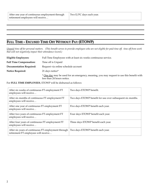## **FULL TIME - EXCUSED TIME OFF WITHOUT PAY (ETOWP)**

*Unpaid time off for personal matters. (This benefit serves to provide employees who are not eligible for paid time off, time off from work that will not negatively impact their attendance record.)*

| Eligible Employees:            | Full Time Employees with at least six weeks continuous service.                                                         |
|--------------------------------|-------------------------------------------------------------------------------------------------------------------------|
| <b>Full Time Compensation:</b> | Time off is Unpaid                                                                                                      |
| <b>Documentation Required:</b> | Request via online schedule account                                                                                     |
| <b>Notice Required:</b>        | 21 days notice*                                                                                                         |
|                                | * One day may be used for an emergency, meaning, you may request to use this benefit with<br>less than 24 hours notice. |

For **FULL TIME EMPLOYEES**, ETOWP will be disbursed as follows:

| After six weeks of continuous FT employment FT<br>employees will receive                    | Two days ETOWP benefit.                                    |
|---------------------------------------------------------------------------------------------|------------------------------------------------------------|
| After six months of continuous FT employment FT<br>employees will receive                   | Two days ETOWP benefit for use over subsequent six months. |
| After one year of continuous FT employment FT<br>employees will receive                     | Five days ETOWP benefit each year.                         |
| After two years of continuous FT employment FT<br>employees will receive                    | Four days ETOWP benefit each year.                         |
| After four years of continuous FT employment FT<br>employees will receive                   | Three days ETOWP benefit each year.                        |
| After six years of continuous FT employment through<br>retirement FT employees will receive | Two days ETOWP benefit each year.                          |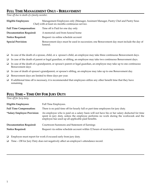## **FULL TIME MANAGEMENT ONLY - BEREAVEMENT**

*Time off due to death of a family member.*

| <b>Eligible Employees:</b>     | Management Employees only (Manager, Assistant Manager, Pastry Chef and Pastry Sous<br>Chef) with at least six months continuous service. |
|--------------------------------|------------------------------------------------------------------------------------------------------------------------------------------|
| <b>Full Time Compensation:</b> | Time off is Paid for one day only                                                                                                        |
| <b>Documentation Required:</b> | A memorial card from funeral home                                                                                                        |
| <b>Notice Required:</b>        | Request via online schedule account                                                                                                      |
| <b>Special Provision:</b>      | Bereavement days must be used in succession; one Bereavement day must include the day of<br>funeral.                                     |

- ❑ In case of the death of a spouse, child, or a spouse's child, an employee may take three continuous Bereavement days.
- ❑ In case of the death of parent or legal guardian, or sibling, an employee may take two continuous Bereavement days.
- ❑ In case of the death of a grandparent, or spouse's parent or legal guardian, an employee may take up to one continuous Bereavement days
- ❑ In case of death of spouse's grandparent, or spouse's sibling, an employee may take up to one Bereavement day.
- ❑ Bereavement days are limited to three days per year.
- $\Box$  If additional time off is necessary, it is recommended that employees utilize any other benefit time that they have remaining.

## **FULL TIME – TIME OFF FOR JURY DUTY**

*Time off for Jury duty.*

| <b>Eligible Employees:</b>         | Full Time Employees.                                                                                                                                                                                                                      |
|------------------------------------|-------------------------------------------------------------------------------------------------------------------------------------------------------------------------------------------------------------------------------------------|
| <b>Full Time Compensation:</b>     | There is no paid time off for hourly full or part time employees for jury duty.                                                                                                                                                           |
| <i>*Salary Employee Provision:</i> | An employee who is paid on a salary basis will not have his or her salary deducted for time<br>spent in jury duty, unless the employee performs no work during the workweek and the<br>employee has used up all applicable paid benefits. |
| <b>Documentation Required:</b>     | Courtroom Summons and Statement of Earnings                                                                                                                                                                                               |
| <b>Notice Required:</b>            | Request via online schedule account within 12 hours of receiving summons.                                                                                                                                                                 |
|                                    |                                                                                                                                                                                                                                           |

- ❑ Employee must report for work if excused early from jury duty.
- ❑ Time Off for Jury Duty does not negatively affect an employee's attendance record.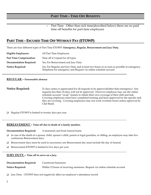o Part Time -Other than sick time(described below) there are no paid time off benefits for part time employees

## **PART TIME - EXCUSED TIME OFF WITHOUT PAY (ETOWP)**

There are four different types of Part Time ETOWP: **Emergency, Regular, Bereavement and Jury Duty.**

| Eligible Employees:            | All Part Time Employees                                                                                                                                       |
|--------------------------------|---------------------------------------------------------------------------------------------------------------------------------------------------------------|
| <b>Part Time Compensation:</b> | Time off is Unpaid for all types                                                                                                                              |
| <b>Documentation Required:</b> | Yes, For Bereavement and Jury Duty                                                                                                                            |
| <b>Notice Required:</b>        | Yes, For Regular and Jury Duty and at least two hours or as soon as possible in emergency.<br>Telephone for emergency and Request via online schedule account |

#### **REGULAR – Foreseeable absence**

**Notice Required:** 21 days notice is appreciated for all requests to be approved(other than emergency) Any requests less than 14 days will not be approved. However employee may use the online schedule account "swap" feature to obtain their own coverage of their shift and task. Covering employees must have completed training and been approved for the specific task they are covering. Covering employees may not work overtime hours unless approved by Chef Budd.

❑ Regular ETOWP is limited to twenty days per year.

#### **BEREAVEMENT – Time off due to death of a family member.**

**Documentation Required:** A memorial card from funeral home

- ❑ In case of the death of a spouse, child, spouse's child, parent or legal guardian, or sibling, an employee may take five continuous Bereavement days.
- ❑ Bereavement days must be used in succession; one Bereavement day must include the day of funeral.
- ❑ Bereavement-ETOWP is limited to five days per year.

#### **JURY DUTY – Time off to serve on a Jury.**

| <b>Documentation Required:</b> | Courtroom Summons                                                         |
|--------------------------------|---------------------------------------------------------------------------|
| <b>Notice Required:</b>        | Within 12 hours of receiving summons. Request via online schedule account |

❑ Jury Duty – ETOWP does not negatively affect an employee's attendance record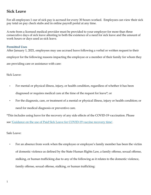## **Sick Leave**

For all employees 1 our of sick pay is accrued for every 30 hours worked. Employees can view their sick pay total on pay check stubs and in online payroll portal at any time.

A note from a licensed medical provider must be provided to your employer for more than three consecutive days of sick leave attesting to both the existence of a need for sick leave and the amount of work hours or days used as sick leave.

#### **Permitted Uses**

After January 1, 2021, employees may use accrued leave following a verbal or written request to their employer for the following reasons impacting the employee or a member of their family for whom they are providing care or assistance with care:

Sick Leave:

- For mental or physical illness, injury, or health condition, regardless of whether it has been diagnosed or requires medical care at the time of the request for leave\*; or
- For the diagnosis, care, or treatment of a mental or physical illness, injury or health condition; or need for medical diagnosis or preventive care.

\*This includes using leave for the recovery of any side effects of the COVID-19 vaccination. Please see ['Guidance on the use of Paid Sick Leave for COVID-19 vaccine recovery time'.](https://dol.ny.gov/system/files/documents/2021/05/psl-and-vaccine-recovery-guidance.pdf)

Safe Leave:

• For an absence from work when the employee or employee's family member has been the victim of domestic violence as defined by the State Human Rights Law, a family offense, sexual offense, stalking, or human trafficking due to any of the following as it relates to the domestic violence, family offense, sexual offense, stalking, or human trafficking: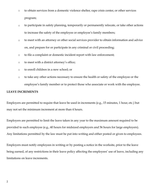- to obtain services from a domestic violence shelter, rape crisis center, or other services program;
- to participate in safety planning, temporarily or permanently relocate, or take other actions to increase the safety of the employee or employee's family members;
- to meet with an attorney or other social services provider to obtain information and advice on, and prepare for or participate in any criminal or civil proceeding;
- to file a complaint or domestic incident report with law enforcement;
- to meet with a district attorney's office;
- to enroll children in a new school; or
- to take any other actions necessary to ensure the health or safety of the employee or the employee's family member or to protect those who associate or work with the employee.

#### **LEAVE INCREMENTS**

Employers are permitted to require that leave be used in increments (e.g., 15 minutes, 1 hour, etc.) but may not set the minimum increment at more than 4 hours.

Employers are permitted to limit the leave taken in any year to the maximum amount required to be provided to such employee (e.g., 40 hours for midsized employers and 56 hours for large employers). Any limitations permitted by the law must be put into writing and either posted or given to employees.

Employers must notify employees in writing or by posting a notice in the worksite, prior to the leave being earned, of any restrictions in their leave policy affecting the employees' use of leave, including any limitations on leave increments.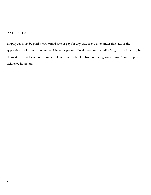## RATE OF PAY

Employees must be paid their normal rate of pay for any paid leave time under this law, or the applicable minimum wage rate, whichever is greater. No allowances or credits (e.g., tip credits) may be claimed for paid leave hours, and employers are prohibited from reducing an employee's rate of pay for sick leave hours only.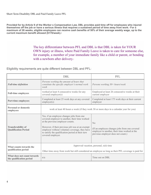Short Term Disability DBL and Paid Family Leave PFL

**Provided for by Article 9 of the Worker s Compensation Law, DBL provides paid time off for employees who injured themselves off the job or have a serious illness that requires a sustained period of time away from work.1 For a maximum of 26 weeks, eligible employees can receive cash benefits of 50% of their average weekly wage, up to the current maximum benefit allowed (\$170/week).2**

> The key differentiator between PFL and DBL is that DBL is taken for YOUR OWN injury or illness, where Paid Family Leave is taken to care for someone else, for example, a member of your immediate family like a child or parent, or bonding with a newborn after delivery.<sup>3</sup>

Eligibility requirements are quite different between DBL and PFL:

|                                                          | <b>DBL</b>                                                                                                                                                                                                                                                                                                    | <b>PFL</b>                                                                                                                                       |
|----------------------------------------------------------|---------------------------------------------------------------------------------------------------------------------------------------------------------------------------------------------------------------------------------------------------------------------------------------------------------------|--------------------------------------------------------------------------------------------------------------------------------------------------|
| <b>Full-time definition</b>                              | Persons working the amount of hours that<br>constitute the specific employer's normal work<br>week                                                                                                                                                                                                            | Persons working 30+ hours/week                                                                                                                   |
| <b>Full-time employees</b>                               | worked at least 4 consecutive weeks for any<br>covered employer(s)                                                                                                                                                                                                                                            | Employed at least 26 consecutive weeks at their<br>current employer                                                                              |
| <b>Part-time employees</b>                               | Completed at least 25 work days at any covered<br>emplover(s)                                                                                                                                                                                                                                                 | Completed at least 175 work days at their current<br>employer                                                                                    |
| <b>Personal or domestic</b><br>employees                 | work at least 40 hours a week (if they work 30 or more days in a calendar year for you)                                                                                                                                                                                                                       |                                                                                                                                                  |
| <b>Transferability of</b><br><b>Qualification Period</b> | Yes, if an employee changes jobs from one<br>covered employer to another, their time worked<br>at the previous employer counts.<br>However, if their previous job was at an exempt<br>employer without voluntary coverage, they have<br>to satisfy the qualification period at their new<br>covered employer. | $\rm No$<br>(If an employee changes jobs from one covered<br>employer to another, their time worked at the<br>previous employer does not count.) |
| What counts towards the<br>qualification period          | Approved vacation, personal, sick time<br>Other time away from work but still considered an employee as long as their PFL coverage is paid for                                                                                                                                                                |                                                                                                                                                  |
| What does not count towards<br>the qualification period  | n/a                                                                                                                                                                                                                                                                                                           | Time out on DBL                                                                                                                                  |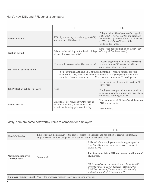|                                      | <b>DBL</b>                                                                                                                                                                                                                                     | <b>PFL</b>                                                                                                                                                                           |  |
|--------------------------------------|------------------------------------------------------------------------------------------------------------------------------------------------------------------------------------------------------------------------------------------------|--------------------------------------------------------------------------------------------------------------------------------------------------------------------------------------|--|
| <b>Benefit Payouts</b>               | 50% of your average weekly wage (AWW)<br>to maximum of \$170/week                                                                                                                                                                              | PFL provides 50% of your AWW capped at<br>50% of NY's AWW in 2018 and gradually<br>increased to up to 67% of the AWW capped<br>at 67% of NY's AWW once fully<br>implemented in 2021. |  |
| <b>Waiting Period</b>                | 7 days (no benefit is paid for the first 7 days)<br>of your illness or disability)                                                                                                                                                             | none (your benefits kick in on the first day<br>of the qualified leave event)                                                                                                        |  |
|                                      | 26 weeks in a consecutive 52-week period                                                                                                                                                                                                       | 8 weeks beginning in 2018 and increasing<br>to a maximum of 12 weeks in 2021 in a<br>consecutive 52-week period                                                                      |  |
| <b>Maximum Leave Duration</b>        | You can't take DBL and PFL at the same time, i.e. receive benefits for both<br>concurrently. They have to be taken in sequence. And if you qualify for both, the<br>combined duration may not exceed 26 weeks in a consecutive 52-week period. |                                                                                                                                                                                      |  |
|                                      |                                                                                                                                                                                                                                                | Yes, even for employers with less than 50<br>employees.                                                                                                                              |  |
| <b>Job Protection While On Leave</b> | None                                                                                                                                                                                                                                           | Employers must provide the same position,<br>or one comparable in wages and benefits, to<br>employees returning from PFL                                                             |  |
| <b>Benefit Offsets</b>               | Benefits are not reduced by PTO such as<br>vacation time, i.e. you can collect DBL<br>benefits while using paid vacation days                                                                                                                  | You can't receive PFL benefits while out on<br>PTO or using sick/<br>vacation days                                                                                                   |  |

Lastly, here are some noteworthy items to compare for employers:

|                                                 | <b>DBL</b>                                                                                                                                                                       | <b>PFL</b>                                                                                                                                                                                                                                                                                                                                                                                     |
|-------------------------------------------------|----------------------------------------------------------------------------------------------------------------------------------------------------------------------------------|------------------------------------------------------------------------------------------------------------------------------------------------------------------------------------------------------------------------------------------------------------------------------------------------------------------------------------------------------------------------------------------------|
| <b>How It's Funded</b>                          | Employer pays the premium to the carrier (unless self-insured) and has option to recoup cost through<br>employee contributions (capped at state-set maximum contribution levels) |                                                                                                                                                                                                                                                                                                                                                                                                |
| <b>Maximum Employee</b><br><b>Contributions</b> | $$0.60$ /week                                                                                                                                                                    | 0.126%* of the employee's weekly wage (capped at<br>New York State's current average weekly wage of<br>$$1,305.92**$ ).<br>This translates into a 2018 maximum contribution of<br>\$1.65/week.<br>*Determined each year by September 30 by the NYS<br>Department of Financial Services - starting 2018<br>**NY Department of Labor releases the annually<br>updated statewide AWW by March 31. |
|                                                 | <b>Employer reimbursement</b>   Yes, if the employee receives salary continuation while out                                                                                      |                                                                                                                                                                                                                                                                                                                                                                                                |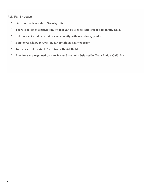### Paid Family Leave

- **Our Carrier is Standard Security Life**
- **There is no other accrued time off that can be used to supplement paid family leave.**
- **PFL does not need to be taken concurrently with any other type of leave**
- **Employees will be responsible for premiums while on leave.**
- **To request PFL contact Chef/Owner Daniel Budd**
- **Premiums are regulated by state law and are not subsidized by Taste Budd's Café, Inc.**